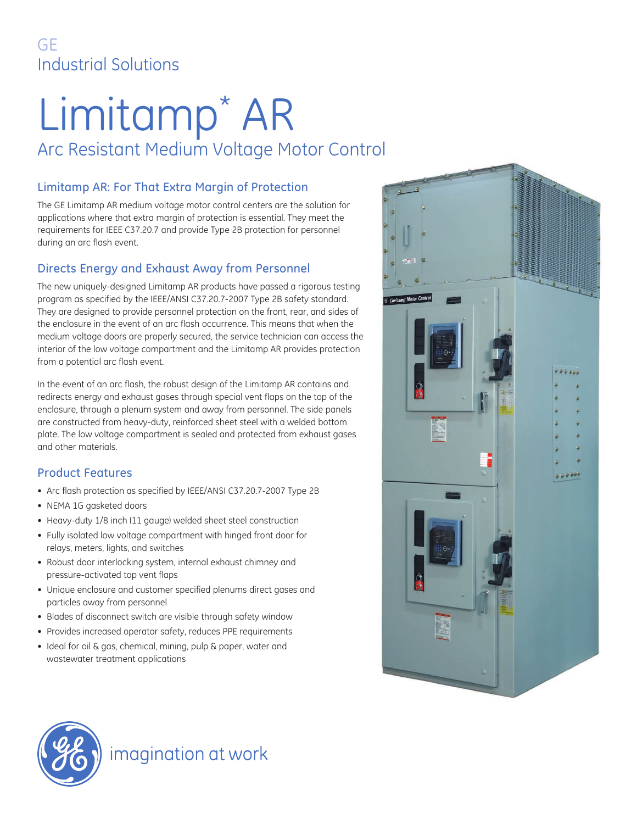## GE Industrial Solutions

# Limitamp\* AR

# Arc Resistant Medium Voltage Motor Control

#### Limitamp AR: For That Extra Margin of Protection

The GE Limitamp AR medium voltage motor control centers are the solution for applications where that extra margin of protection is essential. They meet the requirements for IEEE C37.20.7 and provide Type 2B protection for personnel during an arc flash event.

## Directs Energy and Exhaust Away from Personnel

The new uniquely-designed Limitamp AR products have passed a rigorous testing program as specified by the IEEE/ANSI C37.20.7-2007 Type 2B safety standard. They are designed to provide personnel protection on the front, rear, and sides of the enclosure in the event of an arc flash occurrence. This means that when the medium voltage doors are properly secured, the service technician can access the interior of the low voltage compartment and the Limitamp AR provides protection from a potential arc flash event.

In the event of an arc flash, the robust design of the Limitamp AR contains and redirects energy and exhaust gases through special vent flaps on the top of the enclosure, through a plenum system and away from personnel. The side panels are constructed from heavy-duty, reinforced sheet steel with a welded bottom plate. The low voltage compartment is sealed and protected from exhaust gases and other materials.

## Product Features

- Arc flash protection as specified by IEEE/ANSI C37.20.7-2007 Type 2B
- NEMA 1G gasketed doors
- Heavy-duty 1/8 inch (11 gauge) welded sheet steel construction
- Fully isolated low voltage compartment with hinged front door for relays, meters, lights, and switches
- Robust door interlocking system, internal exhaust chimney and pressure-activated top vent flaps
- Unique enclosure and customer specified plenums direct gases and particles away from personnel
- Blades of disconnect switch are visible through safety window
- Provides increased operator safety, reduces PPE requirements
- Ideal for oil & gas, chemical, mining, pulp & paper, water and wastewater treatment applications





## imagination at work